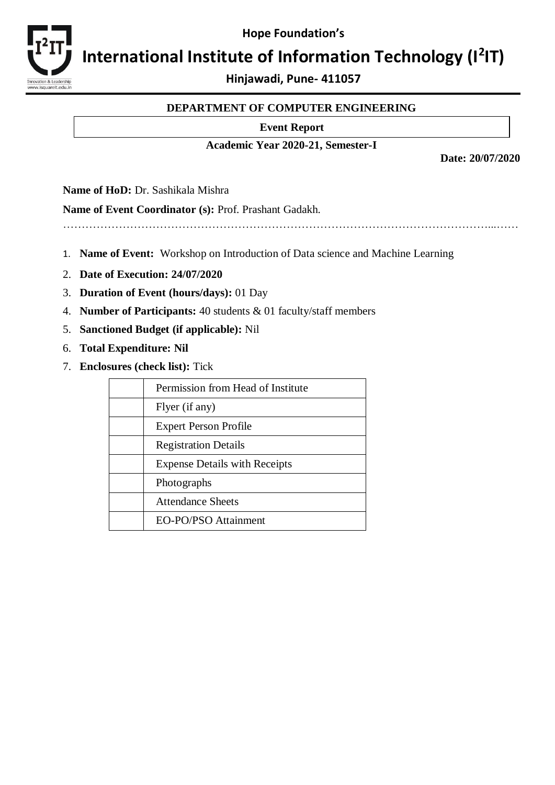**Hope Foundation's**



# International Institute of Information Technology (I<sup>2</sup>IT)

**Hinjawadi, Pune- 411057**

# **DEPARTMENT OF COMPUTER ENGINEERING**

### **Event Report**

## **Academic Year 2020-21, Semester-I**

**Date: 20/07/2020** 

**Name of HoD:** Dr. Sashikala Mishra

**Name of Event Coordinator (s):** Prof. Prashant Gadakh.

……………………………………………………………………………………………………...……

- 1. **Name of Event:** Workshop on Introduction of Data science and Machine Learning
- 2. **Date of Execution: 24/07/2020**
- 3. **Duration of Event (hours/days):** 01 Day
- 4. **Number of Participants:** 40 students & 01 faculty/staff members
- 5. **Sanctioned Budget (if applicable):** Nil
- 6. **Total Expenditure: Nil**
- 7. **Enclosures (check list):** Tick

| Permission from Head of Institute    |
|--------------------------------------|
| Flyer (if any)                       |
| <b>Expert Person Profile</b>         |
| <b>Registration Details</b>          |
| <b>Expense Details with Receipts</b> |
| Photographs                          |
| <b>Attendance Sheets</b>             |
| EO-PO/PSO Attainment                 |